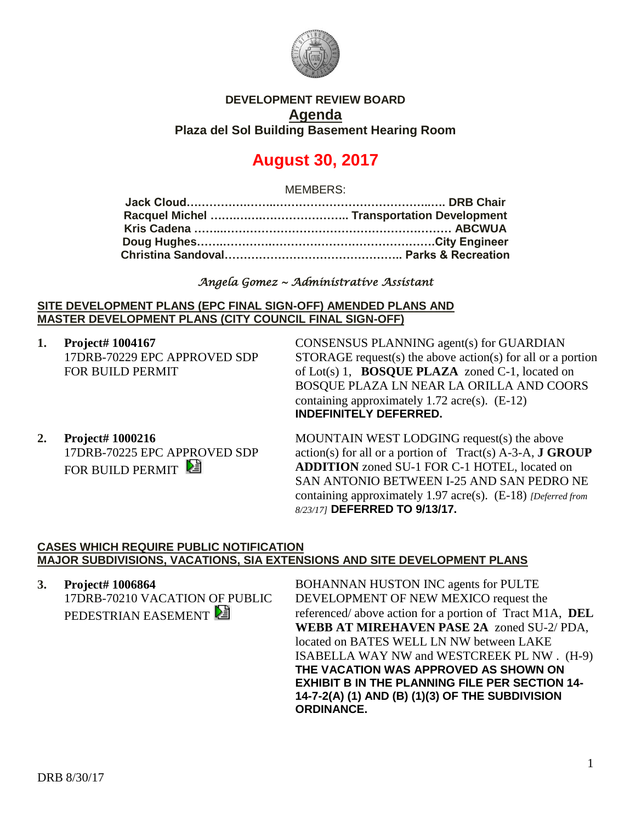

# **DEVELOPMENT REVIEW BOARD Agenda Plaza del Sol Building Basement Hearing Room**

# **August 30, 2017**

MEMBERS:

## *Angela Gomez ~ Administrative Assistant*

#### **SITE DEVELOPMENT PLANS (EPC FINAL SIGN-OFF) AMENDED PLANS AND MASTER DEVELOPMENT PLANS (CITY COUNCIL FINAL SIGN-OFF)**

**1. Project# 1004167** 17DRB-70229 EPC APPROVED SDP FOR BUILD PERMIT

CONSENSUS PLANNING agent(s) for GUARDIAN STORAGE request(s) the above action(s) for all or a portion of Lot(s) 1, **BOSQUE PLAZA** zoned C-1, located on BOSQUE PLAZA LN NEAR LA ORILLA AND COORS containing approximately 1.72 acre(s). (E-12) **INDEFINITELY DEFERRED.**

**2. Project# 1000216** 17DRB-70225 EPC APPROVED SDP FOR BUILD PERMIT

MOUNTAIN WEST LODGING request(s) the above action(s) for all or a portion of Tract(s) A-3-A, **J GROUP ADDITION** zoned SU-1 FOR C-1 HOTEL, located on SAN ANTONIO BETWEEN I-25 AND SAN PEDRO NE containing approximately 1.97 acre(s). (E-18) *[Deferred from 8/23/17]* **DEFERRED TO 9/13/17.**

#### **CASES WHICH REQUIRE PUBLIC NOTIFICATION MAJOR SUBDIVISIONS, VACATIONS, SIA EXTENSIONS AND SITE DEVELOPMENT PLANS**

**3. Project# 1006864** 17DRB-70210 VACATION OF PUBLIC PEDESTRIAN EASEMENT

BOHANNAN HUSTON INC agents for PULTE DEVELOPMENT OF NEW MEXICO request the referenced/ above action for a portion of Tract M1A, **DEL WEBB AT MIREHAVEN PASE 2A** zoned SU-2/ PDA, located on BATES WELL LN NW between LAKE ISABELLA WAY NW and WESTCREEK PL NW . (H-9) **THE VACATION WAS APPROVED AS SHOWN ON EXHIBIT B IN THE PLANNING FILE PER SECTION 14- 14-7-2(A) (1) AND (B) (1)(3) OF THE SUBDIVISION ORDINANCE.**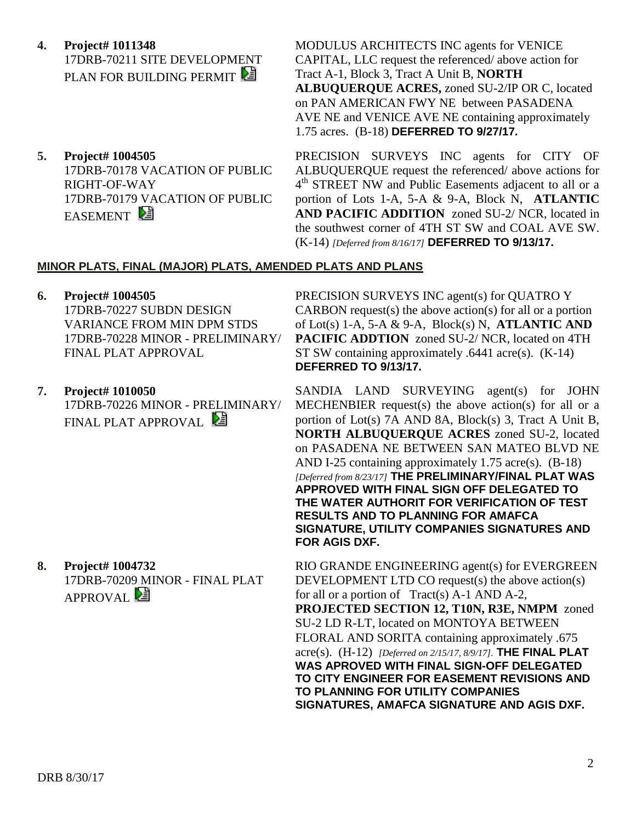**4. Project# 1011348**

17DRB-70211 SITE DEVELOPMENT PLAN FOR BUILDING PERMIT

**5. Project# 1004505** 17DRB-70178 VACATION OF PUBLIC RIGHT-OF-WAY 17DRB-70179 VACATION OF PUBLIC EASEMENT

MODULUS ARCHITECTS INC agents for VENICE CAPITAL, LLC request the referenced/ above action for Tract A-1, Block 3, Tract A Unit B, **NORTH ALBUQUERQUE ACRES,** zoned SU-2/IP OR C, located on PAN AMERICAN FWY NE between PASADENA AVE NE and VENICE AVE NE containing approximately 1.75 acres. (B-18) **DEFERRED TO 9/27/17.**

PRECISION SURVEYS INC agents for CITY OF ALBUQUERQUE request the referenced/ above actions for 4<sup>th</sup> STREET NW and Public Easements adjacent to all or a portion of Lots 1-A, 5-A & 9-A, Block N, **ATLANTIC AND PACIFIC ADDITION** zoned SU-2/ NCR, located in the southwest corner of 4TH ST SW and COAL AVE SW. (K-14) *[Deferred from 8/16/17]* **DEFERRED TO 9/13/17.** 

## **MINOR PLATS, FINAL (MAJOR) PLATS, AMENDED PLATS AND PLANS**

- **6. Project# 1004505** 17DRB-70227 SUBDN DESIGN VARIANCE FROM MIN DPM STDS 17DRB-70228 MINOR - PRELIMINARY/ FINAL PLAT APPROVAL
- **7. Project# 1010050** 17DRB-70226 MINOR - PRELIMINARY/ FINAL PLAT APPROVAL

**8. Project# 1004732** 17DRB-70209 MINOR - FINAL PLAT  $APPROVAL}$ 

PRECISION SURVEYS INC agent(s) for QUATRO Y CARBON request(s) the above action(s) for all or a portion of Lot(s) 1-A, 5-A & 9-A, Block(s) N, **ATLANTIC AND PACIFIC ADDTION** zoned SU-2/ NCR, located on 4TH ST SW containing approximately .6441 acre(s). (K-14) **DEFERRED TO 9/13/17.**

SANDIA LAND SURVEYING agent(s) for JOHN MECHENBIER request(s) the above action(s) for all or a portion of Lot(s) 7A AND 8A, Block(s) 3, Tract A Unit B, **NORTH ALBUQUERQUE ACRES** zoned SU-2, located on PASADENA NE BETWEEN SAN MATEO BLVD NE AND I-25 containing approximately 1.75 acre(s). (B-18) *[Deferred from 8/23/17]* **THE PRELIMINARY/FINAL PLAT WAS APPROVED WITH FINAL SIGN OFF DELEGATED TO THE WATER AUTHORIT FOR VERIFICATION OF TEST RESULTS AND TO PLANNING FOR AMAFCA SIGNATURE, UTILITY COMPANIES SIGNATURES AND FOR AGIS DXF.**

RIO GRANDE ENGINEERING agent(s) for EVERGREEN DEVELOPMENT LTD CO request(s) the above action(s) for all or a portion of Tract(s) A-1 AND A-2, **PROJECTED SECTION 12, T10N, R3E, NMPM** zoned SU-2 LD R-LT, located on MONTOYA BETWEEN FLORAL AND SORITA containing approximately .675 acre(s). (H-12) *[Deferred on 2/15/17, 8/9/17].* **THE FINAL PLAT WAS APROVED WITH FINAL SIGN-OFF DELEGATED TO CITY ENGINEER FOR EASEMENT REVISIONS AND TO PLANNING FOR UTILITY COMPANIES SIGNATURES, AMAFCA SIGNATURE AND AGIS DXF.**